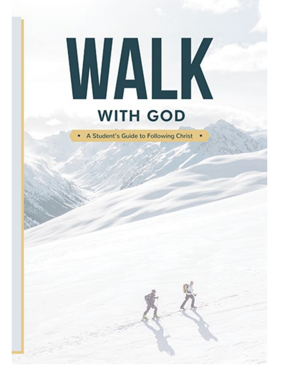# WALK **WITH GOD**

A Student's Guide to Following Christ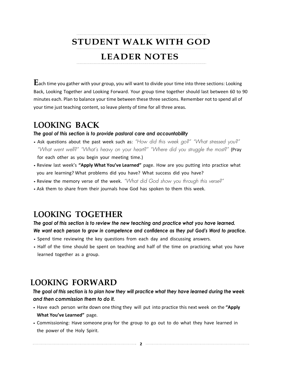## **STUDENT WALK WITH GOD**

### **LEADER NOTES**

**E**ach time you gather with your group, you will want to divide your time into three sections: Looking Back, Looking Together and Looking Forward. Your group time together should last between 60 to 90 minutes each. Plan to balance your time between these three sections. Remember not to spend all of your time just teaching content, so leave plenty of time for all three areas.

#### **LOOKING BACK**

#### *The goal of this section is to provide pastoral care and accountability*

- Ask questions about the past week such as: *"How did this week go?" "What stressed you?" "What went well?" "What's heavy on your heart?" "Where did you struggle the most?"* (Pray for each other as you begin your meeting time.)
- Review last week's **"Apply What You've Learned"** page. How are you putting into practice what you are learning? What problems did you have? What success did you have?
- Review the memory verse of the week. *"What did God show you through this verse?"*
- Ask them to share from their journals how God has spoken to them this week.

#### **LOOKING TOGETHER**

*The goal of this section is to review the new teaching and practice what you have learned. We want each person to grow in competence and confidence as they put God's Word to practice.*

- Spend time reviewing the key questions from each day and discussing answers.
- Half of the time should be spent on teaching and half of the time on practicing what you have learned together as a group.

#### **LOOKING FORWARD**

*The goal of this section is to plan how they will practice what they have learned during the week and then commission them to do it.*

- Have each person write down one thing they will put into practice this next week on the **"Apply What You've Learned"** page.
- Commissioning: Have someone pray for the group to go out to do what they have learned in the power of the Holy Spirit.

**2**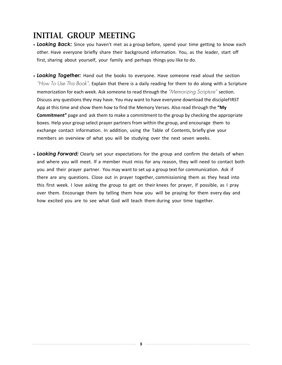# **INITIAL GROUP MEETING**

- *Looking Back:* Since you haven't met as a group before, spend your time getting to know each other. Have everyone briefly share their background information. You, as the leader, start off first, sharing about yourself, your family and perhaps things you like to do.
- *Looking Together:* Hand out the books to everyone. Have someone read aloud the section *"How To Use This Book"*. Explain that there is a daily reading for them to do along with a Scripture memorization for each week. Ask someone to read through the *"Memorizing Scripture"* section. Discuss any questions they may have. You may want to have everyone download the discipleFIRST App at this time and show them how to find the Memory Verses. Also read through the **"My Commitment"** page and ask them to make a commitment to the group by checking the appropriate boxes. Help your group select prayer partners from within the group, and encourage them to exchange contact information. In addition, using the Table of Contents, briefly give your members an overview of what you will be studying over the next seven weeks.
- *Looking Forward:* Clearly set your expectations for the group and confirm the details of when and where you will meet. If a member must miss for any reason, they will need to contact both you and their prayer partner. You may want to set up a group text for communication. Ask if there are any questions. Close out in prayer together, commissioning them as they head into this first week. I love asking the group to get on their knees for prayer, if possible, as I pray over them. Encourage them by telling them how you will be praying for them every day and how excited you are to see what God will teach them during your time together.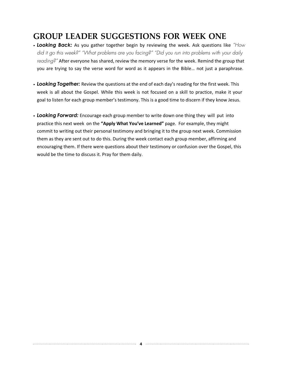# **GROUP LEADER SUGGESTIONS FOR WEEK ONE**

- *Looking Back:* As you gather together begin by reviewing the week. Ask questions like *"How did it go this week?" "What problems are you facing?" "Did you run into problems with your daily reading?"* After everyone has shared, review the memory verse for the week. Remind the group that you are trying to say the verse word for word as it appears in the Bible… not just a paraphrase.
- *Looking Together:* Review the questions at the end of each day's reading for the first week. This week is all about the Gospel. While this week is not focused on a skill to practice, make it your goal to listen for each group member's testimony. This is a good time to discern if they know Jesus.
- *Looking Forward:* Encourage each group member to write down one thing they will put into practice this next week on the **"Apply What You've Learned"** page. For example, they might commit to writing out their personal testimony and bringing it to the group next week. Commission them as they are sent out to do this. During the week contact each group member, affirming and encouraging them. If there were questions about their testimony or confusion over the Gospel, this would be the time to discuss it. Pray for them daily.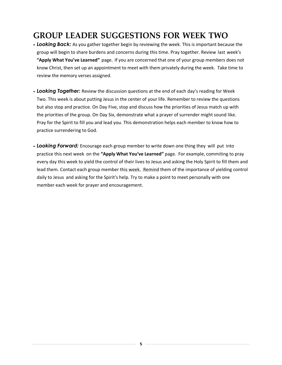# **GROUP LEADER SUGGESTIONS FOR WEEK TWO**

- *Looking Back:* As you gather together begin by reviewing the week. This is important because the group will begin to share burdens and concerns during this time. Pray together. Review last week's **"Apply What You've Learned"** page. If you are concerned that one of your group members does not know Christ, then set up an appointment to meet with them privately during the week. Take time to review the memory verses assigned.
- *Looking Together:* Review the discussion questions at the end of each day's reading for Week Two. This week is about putting Jesus in the center of your life. Remember to review the questions but also stop and practice. On Day Five, stop and discuss how the priorities of Jesus match up with the priorities of the group. On Day Six, demonstrate what a prayer of surrender might sound like. Pray for the Spirit to fill you and lead you. This demonstration helps each member to know how to practice surrendering to God.
- *Looking Forward:* Encourage each group member to write down one thing they will put into practice this next week on the **"Apply What You've Learned"** page. For example, commiting to pray every day this week to yield the control of their lives to Jesus and asking the Holy Spirit to fill them and lead them. Contact each group member this week. Remind them of the importance of yielding control daily to Jesus and asking for the Spirit's help. Try to make a point to meet personally with one member each week for prayer and encouragement.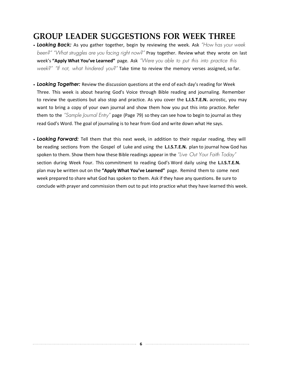## **GROUP LEADER SUGGESTIONS FOR WEEK THREE**

- *Looking Back:* As you gather together, begin by reviewing the week. Ask *"How has your week been?" "What struggles are you facing right now?"* Pray together. Review what they wrote on last week's **"Apply What You've Learned"** page. Ask *"Were you able to put this into practice this week?" "If not, what hindered you?"* Take time to review the memory verses assigned, so far.
- *Looking Together:* Review the discussion questions at the end of each day's reading for Week Three. This week is about hearing God's Voice through Bible reading and journaling. Remember to review the questions but also stop and practice. As you cover the **L.I.S.T.E.N.** acrostic, you may want to bring a copy of your own journal and show them how you put this into practice. Refer them to the *"Sample Journal Entry"* page (Page 79) so they can see how to begin to journal as they read God's Word. The goal of journaling is to hear from God and write down what He says.
- *Looking Forward:* Tell them that this next week, in addition to their regular reading, they will be reading sections from the Gospel of Luke and using the **L.I.S.T.E.N.** plan to journal how God has spoken to them. Show them how these Bible readings appear in the *"Live Out Your Faith Today"* section during Week Four. This commitment to reading God's Word daily using the **L.I.S.T.E.N.** plan may be written out on the **"Apply What You've Learned"** page. Remind them to come next week prepared to share what God has spoken to them. Ask if they have any questions. Be sure to conclude with prayer and commission them out to put into practice what they have learned this week.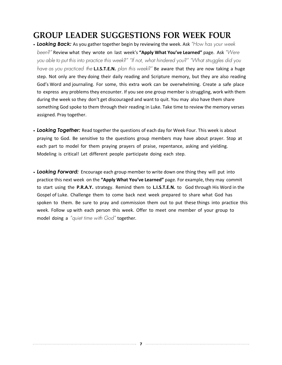## **GROUP LEADER SUGGESTIONS FOR WEEK FOUR**

- *Looking Back:* As you gather together begin by reviewing the week. Ask *"How has your week been?"* Review what they wrote on last week's **"Apply What You've Learned"** page. Ask *"Were you able to put this into practice this week?" "If not, what hindered you?" "What struggles did you have as you practiced the* **L.I.S.T.E.N.** *plan this week?"* Be aware that they are now taking a huge step. Not only are they doing their daily reading and Scripture memory, but they are also reading God's Word and journaling. For some, this extra work can be overwhelming. Create a safe place to express any problems they encounter. If you see one group member is struggling, work with them during the week so they don't get discouraged and want to quit. You may also have them share something God spoke to them through their reading in Luke. Take time to review the memory verses assigned. Pray together.
- *Looking Together:* Read together the questions of each day for Week Four. This week is about praying to God. Be sensitive to the questions group members may have about prayer. Stop at each part to model for them praying prayers of praise, repentance, asking and yielding. Modeling is critical! Let different people participate doing each step.
- *Looking Forward:* Encourage each group member to write down one thing they will put into practice this next week on the **"Apply What You've Learned"** page. For example, they may commit to start using the **P.R.A.Y.** strategy. Remind them to **L.I.S.T.E.N.** to God through His Word in the Gospel of Luke. Challenge them to come back next week prepared to share what God has spoken to them. Be sure to pray and commission them out to put these things into practice this week. Follow up with each person this week. Offer to meet one member of your group to model doing a *"quiet time with God"* together.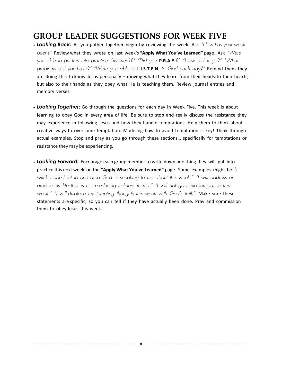# **GROUP LEADER SUGGESTIONS FOR WEEK FIVE**

- *Looking Back:* As you gather together begin by reviewing the week. Ask *"How has your week been?"* Review what they wrote on last week's **"Apply What You've Learned"** page. Ask *"Were you able to put this into practice this week?" "Did you* **P.R.A.Y.***?" "How did it go?" "What problems did you have?" "Were you able to* **L.I.S.T.E.N.** *to God each day?"* Remind them they are doing this to know Jesus personally – moving what they learn from their heads to their hearts, but also to their hands as they obey what He is teaching them. Review journal entries and memory verses.
- *Looking Together:* Go through the questions for each day in Week Five. This week is about learning to obey God in every area of life. Be sure to stop and really discuss the resistance they may experience in following Jesus and how they handle temptations. Help them to think about creative ways to overcome temptation. Modeling how to avoid temptation is key! Think through actual examples. Stop and pray as you go through these sections… specifically for temptations or resistance they may be experiencing.
- *Looking Forward:* Encourage each group member to write down one thing they will put into practice this next week on the **"Apply What You've Learned"** page. Some examples might be *"I will be obedient to one area God is speaking to me about this week." "I will address an area in my life that is not producing holiness in me." "I will not give into temptation this week." "I will displace my tempting thoughts this week with God's truth"*. Make sure these statements are specific, so you can tell if they have actually been done. Pray and commission them to obey Jesus this week.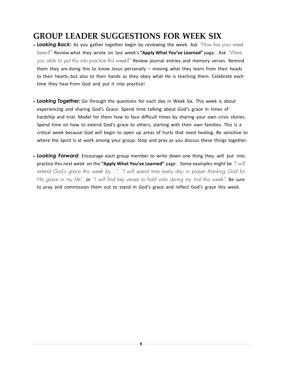# **GROUP LEADER SUGGESTIONS FOR WEEK SIX**

- *Looking Back:* As you gather together begin by reviewing the week. Ask *"How has your week been?"* Review what they wrote on last week's **"Apply What You've Learned"** page. Ask *"Were you able to put this into practice this week?"* Review journal entries and memory verses. Remind them they are doing this to know Jesus personally – moving what they learn from their heads to their hearts, but also to their hands as they obey what He is teaching them. Celebrate each time they hear from God and put it into practice!
- *Looking Together:* Go through the questions for each day in Week Six. This week is about experiencing and sharing God's Grace. Spend time talking about God's grace in times of hardship and trial. Model for them how to face difficult times by sharing your own crisis stories. Spend time on how to extend God's grace to others, starting with their own families. This is a critical week because God will begin to open up areas of hurts that need healing. Be sensitive to where the Spirit is at work among your group. Stop and pray as you discuss these things together.
- *Looking Forward:* Encourage each group member to write down one thing they will put into practice this next week on the **"Apply What You've Learned"** page. Some examples might be *"I will extend God's grace this week by…", "I will spend time every day in prayer thanking God for His grace in my life",* or *"I will find key verses to hold onto during my trial this week"*. Be sure to pray and commission them out to stand in God's grace and reflect God's grace this week.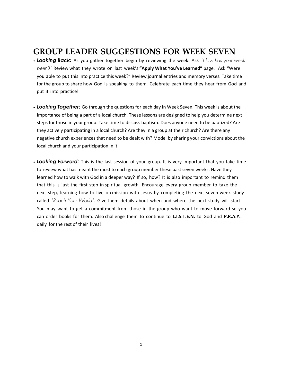## **GROUP LEADER SUGGESTIONS FOR WEEK SEVEN**

- *Looking Back:* As you gather together begin by reviewing the week. Ask *"How has your week been?"* Review what they wrote on last week's **"Apply What You've Learned"** page. Ask "Were you able to put this into practice this week?" Review journal entries and memory verses. Take time for the group to share how God is speaking to them. Celebrate each time they hear from God and put it into practice!
- *Looking Together:* Go through the questions for each day in Week Seven. This week is about the importance of being a part of a local church. These lessons are designed to help you determine next steps for those in your group. Take time to discuss baptism. Does anyone need to be baptized? Are they actively participating in a local church? Are they in a group at their church? Are there any negative church experiences that need to be dealt with? Model by sharing your convictions about the local church and your participation in it.
- *Looking Forward:* This is the last session of your group. It is very important that you take time to review what has meant the most to each group member these past seven weeks. Have they learned how to walk with God in a deeper way? If so, how? It is also important to remind them that this is just the first step in spiritual growth. Encourage every group member to take the next step, learning how to live on mission with Jesus by completing the next seven-week study called *"Reach Your World"*. Give them details about when and where the next study will start. You may want to get a commitment from those in the group who want to move forward so you can order books for them. Also challenge them to continue to **L.I.S.T.E.N.** to God and **P.R.A.Y.** daily for the rest of their lives!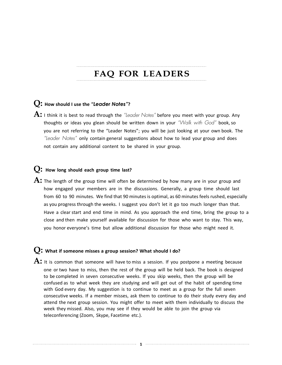# **FAQ FOR LEADERS**

#### **Q: How should <sup>I</sup> use the** *"Leader Notes"***?**

**A:** <sup>I</sup> think it is best to read through the *"Leader Notes"* before you meet with your group. Any thoughts or ideas you glean should be written down in your *"Walk with God"* book, so you are not referring to the "Leader Notes"; you will be just looking at your own book. The *"Leader Notes"* only contain general suggestions about how to lead your group and does not contain any additional content to be shared in your group.

#### **Q: How long should each group time last?**

**A:** The length of the group time will often be determined by how many are in your group and how engaged your members are in the discussions. Generally, a group time should last from 60 to 90 minutes. We find that 90 minutes is optimal, as 60 minutes feels rushed, especially as you progress through the weeks. I suggest you don't let it go too much longer than that. Have a clear start and end time in mind. As you approach the end time, bring the group to a close and then make yourself available for discussion for those who want to stay. This way, you honor everyone's time but allow additional discussion for those who might need it.

#### **Q: What if someone misses <sup>a</sup> group session? What should <sup>I</sup> do?**

A: It is common that someone will have to miss a session. If you postpone a meeting because one or two have to miss, then the rest of the group will be held back. The book is designed to be completed in seven consecutive weeks. If you skip weeks, then the group will be confused as to what week they are studying and will get out of the habit of spending time with God every day. My suggestion is to continue to meet as a group for the full seven consecutive weeks. If a member misses, ask them to continue to do their study every day and attend the next group session. You might offer to meet with them individually to discuss the week they missed. Also, you may see if they would be able to join the group via teleconferencing (Zoom, Skype, Facetime etc.).